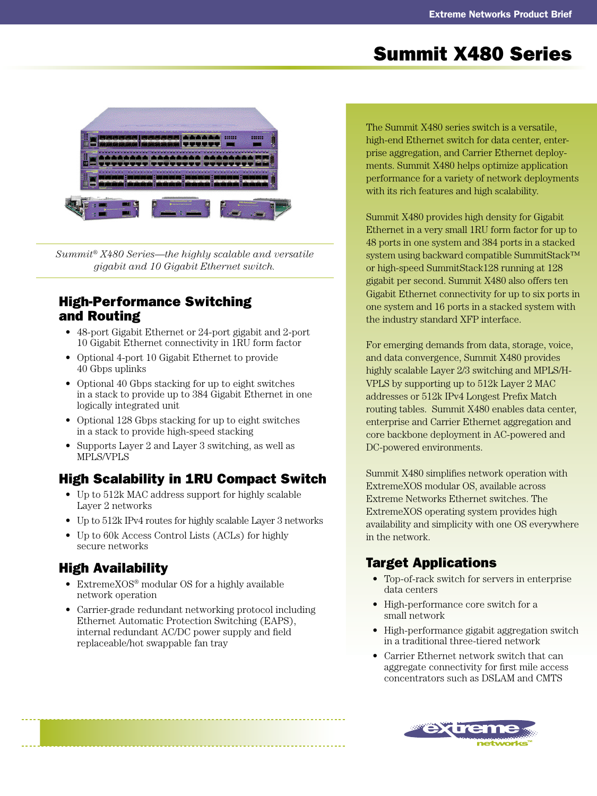# Summit X480 Series



*Summit® X480 Series—the highly scalable and versatile gigabit and 10 Gigabit Ethernet switch.*

### High-Performance Switching and Routing

- 48-port Gigabit Ethernet or 24-port gigabit and 2-port 10 Gigabit Ethernet connectivity in 1RU form factor
- Optional 4-port 10 Gigabit Ethernet to provide 40 Gbps uplinks
- Optional 40 Gbps stacking for up to eight switches in a stack to provide up to 384 Gigabit Ethernet in one logically integrated unit
- Optional 128 Gbps stacking for up to eight switches in a stack to provide high-speed stacking
- Supports Layer 2 and Layer 3 switching, as well as MPLS/VPLS

# High Scalability in 1RU Compact Switch

- Up to 512k MAC address support for highly scalable Layer 2 networks
- Up to 512k IPv4 routes for highly scalable Layer 3 networks
- Up to 60k Access Control Lists (ACLs) for highly secure networks

# High Availability

- ExtremeXOS® modular OS for a highly available network operation
- Carrier-grade redundant networking protocol including Ethernet Automatic Protection Switching (EAPS), internal redundant AC/DC power supply and field replaceable/hot swappable fan tray

The Summit X480 series switch is a versatile, high-end Ethernet switch for data center, enterprise aggregation, and Carrier Ethernet deployments. Summit X480 helps optimize application performance for a variety of network deployments with its rich features and high scalability.

Summit X480 provides high density for Gigabit Ethernet in a very small 1RU form factor for up to 48 ports in one system and 384 ports in a stacked system using backward compatible SummitStack™ or high-speed SummitStack128 running at 128 gigabit per second. Summit X480 also offers ten Gigabit Ethernet connectivity for up to six ports in one system and 16 ports in a stacked system with the industry standard XFP interface.

For emerging demands from data, storage, voice, and data convergence, Summit X480 provides highly scalable Layer 2/3 switching and MPLS/H-VPLS by supporting up to 512k Layer 2 MAC addresses or 512k IPv4 Longest Prefix Match routing tables. Summit X480 enables data center, enterprise and Carrier Ethernet aggregation and core backbone deployment in AC-powered and DC-powered environments.

Summit X480 simplifies network operation with ExtremeXOS modular OS, available across Extreme Networks Ethernet switches. The ExtremeXOS operating system provides high availability and simplicity with one OS everywhere in the network.

# Target Applications

- Top-of-rack switch for servers in enterprise data centers
- High-performance core switch for a small network
- High-performance gigabit aggregation switch in a traditional three-tiered network
- Carrier Ethernet network switch that can aggregate connectivity for first mile access concentrators such as DSLAM and CMTS